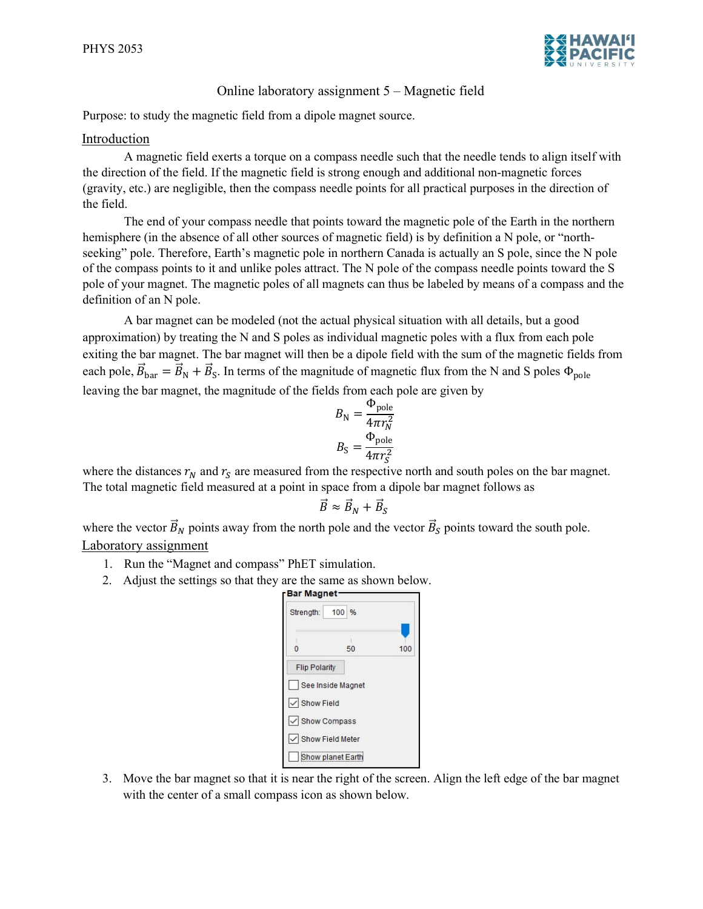

## Online laboratory assignment 5 – Magnetic field

Purpose: to study the magnetic field from a dipole magnet source.

## Introduction

A magnetic field exerts a torque on a compass needle such that the needle tends to align itself with the direction of the field. If the magnetic field is strong enough and additional non-magnetic forces (gravity, etc.) are negligible, then the compass needle points for all practical purposes in the direction of the field.

The end of your compass needle that points toward the magnetic pole of the Earth in the northern hemisphere (in the absence of all other sources of magnetic field) is by definition a N pole, or "northseeking" pole. Therefore, Earth's magnetic pole in northern Canada is actually an S pole, since the N pole of the compass points to it and unlike poles attract. The N pole of the compass needle points toward the S pole of your magnet. The magnetic poles of all magnets can thus be labeled by means of a compass and the definition of an N pole.

A bar magnet can be modeled (not the actual physical situation with all details, but a good approximation) by treating the N and S poles as individual magnetic poles with a flux from each pole exiting the bar magnet. The bar magnet will then be a dipole field with the sum of the magnetic fields from each pole,  $\vec{B}_{\text{bar}} = \vec{B}_{\text{N}} + \vec{B}_{\text{S}}$ . In terms of the magnitude of magnetic flux from the N and S poles  $\Phi_{\text{pole}}$ leaving the bar magnet, the magnitude of the fields from each pole are given by

$$
B_{\rm N} = \frac{\Phi_{\rm pole}}{4\pi r_N^2}
$$

$$
B_{\rm S} = \frac{\Phi_{\rm pole}}{4\pi r_S^2}
$$

where the distances  $r_N$  and  $r_S$  are measured from the respective north and south poles on the bar magnet. The total magnetic field measured at a point in space from a dipole bar magnet follows as

$$
\vec{B} \approx \vec{B}_N + \vec{B}_S
$$

where the vector  $\vec{B}_N$  points away from the north pole and the vector  $\vec{B}_S$  points toward the south pole. Laboratory assignment

- 1. Run the "Magnet and compass" PhET simulation.
- 2. Adjust the settings so that they are the same as shown below.

| <b>Bar Magnet</b>    |                    |     |
|----------------------|--------------------|-----|
| Strength:            | 100 %              |     |
| Ū                    | 50                 | 100 |
|                      |                    |     |
| <b>Flip Polarity</b> |                    |     |
|                      | See Inside Magnet  |     |
| √ Show Field         |                    |     |
| √ Show Compass       |                    |     |
|                      | √ Show Field Meter |     |
|                      | Show planet Earth  |     |

3. Move the bar magnet so that it is near the right of the screen. Align the left edge of the bar magnet with the center of a small compass icon as shown below.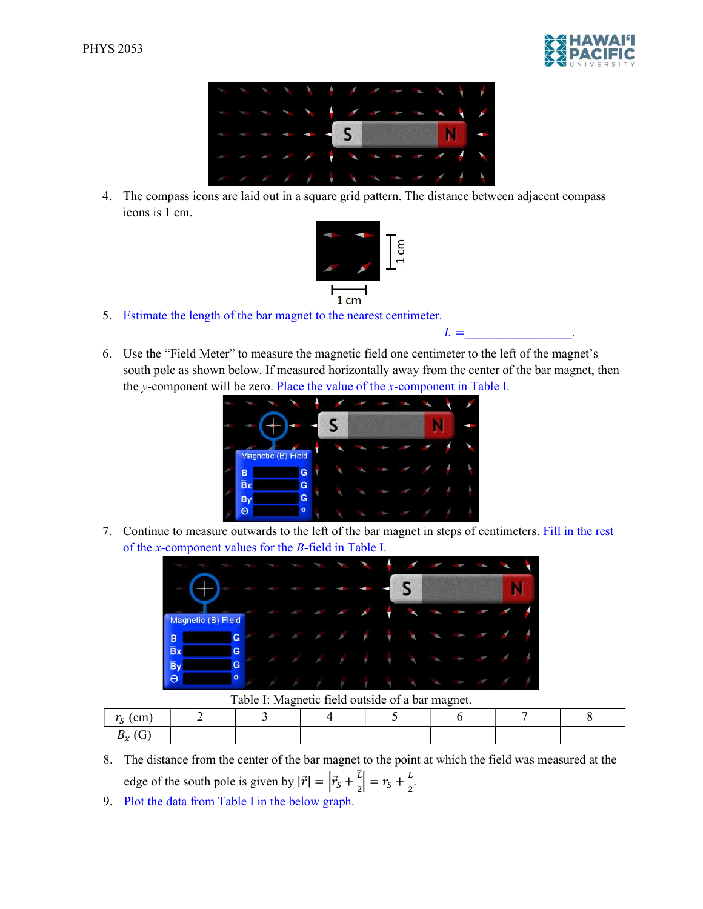



4. The compass icons are laid out in a square grid pattern. The distance between adjacent compass icons is 1 cm.



- 5. Estimate the length of the bar magnet to the nearest centimeter.
- 6. Use the "Field Meter" to measure the magnetic field one centimeter to the left of the magnet's south pole as shown below. If measured horizontally away from the center of the bar magnet, then the y-component will be zero. Place the value of the  $x$ -component in Table I.

 $L =$ 



7. Continue to measure outwards to the left of the bar magnet in steps of centimeters. Fill in the rest of the x-component values for the B-field in Table I.



Table I: Magnetic field outside of a bar magnet.

| $\sim$<br>'cm                  |  |  |  |  |
|--------------------------------|--|--|--|--|
| $\mathbf{D}_{\mathbf{v}}$<br>~ |  |  |  |  |

- 8. The distance from the center of the bar magnet to the point at which the field was measured at the edge of the south pole is given by  $|\vec{r}| = |\vec{r}_s + \frac{\vec{l}}{2}|$  $\frac{\bar{L}}{2}$  =  $r_S + \frac{L}{2}$  $\frac{1}{2}$ .
- 9. Plot the data from Table I in the below graph.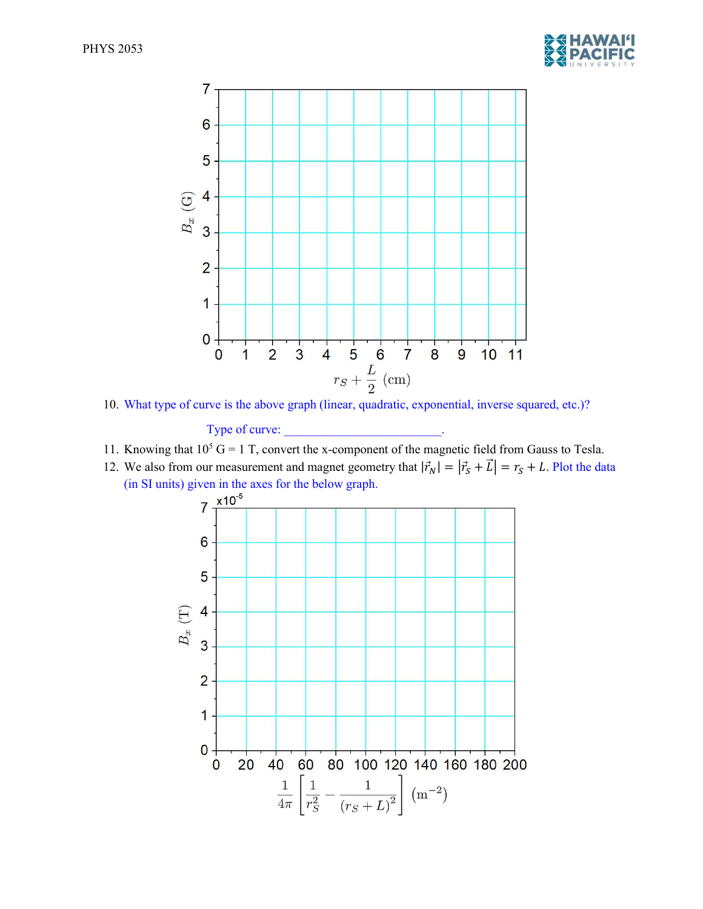



10. What type of curve is the above graph (linear, quadratic, exponential, inverse squared, etc.)?

Type of curve:

- 11. Knowing that  $10^5$  G = 1 T, convert the x-component of the magnetic field from Gauss to Tesla.
- 12. We also from our measurement and magnet geometry that  $|\vec{r}_N| = |\vec{r}_S + \vec{L}| = r_S + L$ . Plot the data